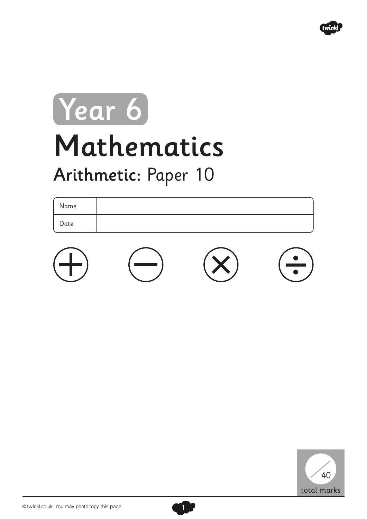

## Mathematics Arithmetic: Paper 10 Year 6

## Name Date





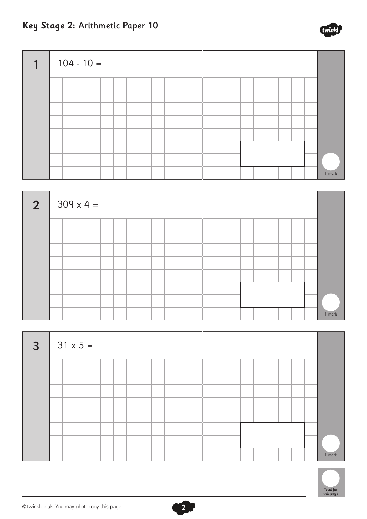



| $\overline{3}$ |  | $31 \times 5 =$ |  |  |  |  |  |  |  |  |  |        |
|----------------|--|-----------------|--|--|--|--|--|--|--|--|--|--------|
|                |  |                 |  |  |  |  |  |  |  |  |  |        |
|                |  |                 |  |  |  |  |  |  |  |  |  |        |
|                |  |                 |  |  |  |  |  |  |  |  |  |        |
|                |  |                 |  |  |  |  |  |  |  |  |  |        |
|                |  |                 |  |  |  |  |  |  |  |  |  |        |
|                |  |                 |  |  |  |  |  |  |  |  |  |        |
|                |  |                 |  |  |  |  |  |  |  |  |  |        |
|                |  |                 |  |  |  |  |  |  |  |  |  | 1 mark |

 $\mathbf{r}_2$ 



**Key Stage 2:** Arithmetic Paper 10

twin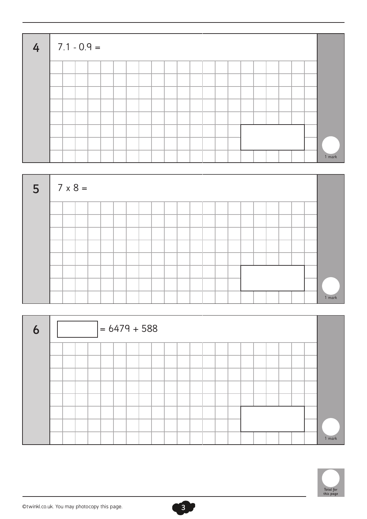



| 6 |  | $= 6479 + 588$ |  |  |  |  |  |  |  |  |        |
|---|--|----------------|--|--|--|--|--|--|--|--|--------|
|   |  |                |  |  |  |  |  |  |  |  |        |
|   |  |                |  |  |  |  |  |  |  |  |        |
|   |  |                |  |  |  |  |  |  |  |  |        |
|   |  |                |  |  |  |  |  |  |  |  |        |
|   |  |                |  |  |  |  |  |  |  |  |        |
|   |  |                |  |  |  |  |  |  |  |  |        |
|   |  |                |  |  |  |  |  |  |  |  | 1 mark |



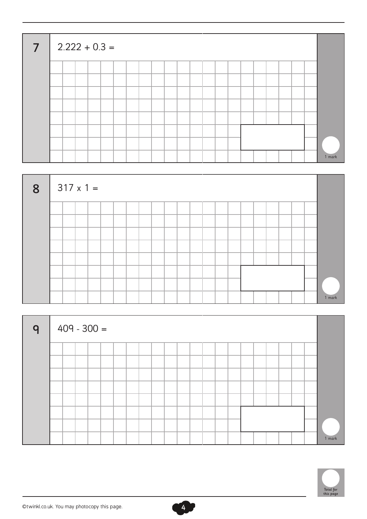| $\overline{7}$ |  |  | $2.222 + 0.3 =$ |  |  |  |  |  |  |  |  |        |
|----------------|--|--|-----------------|--|--|--|--|--|--|--|--|--------|
|                |  |  |                 |  |  |  |  |  |  |  |  |        |
|                |  |  |                 |  |  |  |  |  |  |  |  |        |
|                |  |  |                 |  |  |  |  |  |  |  |  |        |
|                |  |  |                 |  |  |  |  |  |  |  |  |        |
|                |  |  |                 |  |  |  |  |  |  |  |  |        |
|                |  |  |                 |  |  |  |  |  |  |  |  |        |
|                |  |  |                 |  |  |  |  |  |  |  |  |        |
|                |  |  |                 |  |  |  |  |  |  |  |  | 1 mark |



| $\mathsf{q}$ | $409 - 300 =$ |  |  |  |  |  |  |  |  |  |  |        |
|--------------|---------------|--|--|--|--|--|--|--|--|--|--|--------|
|              |               |  |  |  |  |  |  |  |  |  |  |        |
|              |               |  |  |  |  |  |  |  |  |  |  |        |
|              |               |  |  |  |  |  |  |  |  |  |  |        |
|              |               |  |  |  |  |  |  |  |  |  |  |        |
|              |               |  |  |  |  |  |  |  |  |  |  |        |
|              |               |  |  |  |  |  |  |  |  |  |  |        |
|              |               |  |  |  |  |  |  |  |  |  |  |        |
|              |               |  |  |  |  |  |  |  |  |  |  | 1 mark |



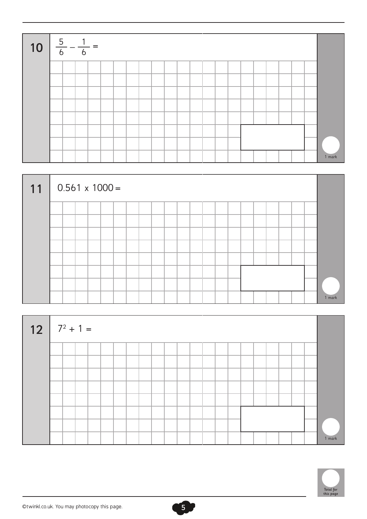



| <b>12</b> $7^2 + 1 =$ |  |  |  |  |  |  |  |  |  |  |        |
|-----------------------|--|--|--|--|--|--|--|--|--|--|--------|
|                       |  |  |  |  |  |  |  |  |  |  |        |
|                       |  |  |  |  |  |  |  |  |  |  |        |
|                       |  |  |  |  |  |  |  |  |  |  |        |
|                       |  |  |  |  |  |  |  |  |  |  |        |
|                       |  |  |  |  |  |  |  |  |  |  |        |
|                       |  |  |  |  |  |  |  |  |  |  |        |
|                       |  |  |  |  |  |  |  |  |  |  |        |
|                       |  |  |  |  |  |  |  |  |  |  | 1 mark |



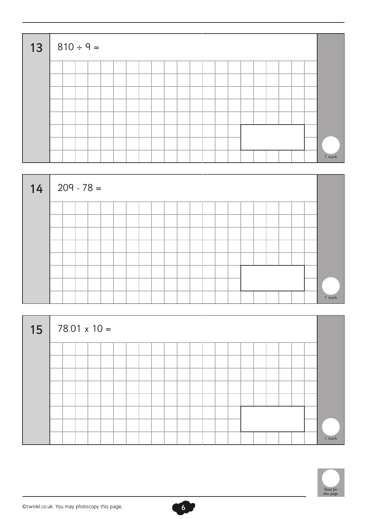| $13   810 \div 9 =$ |  |  |  |  |  |  |  |  |  |  |        |
|---------------------|--|--|--|--|--|--|--|--|--|--|--------|
|                     |  |  |  |  |  |  |  |  |  |  |        |
|                     |  |  |  |  |  |  |  |  |  |  |        |
|                     |  |  |  |  |  |  |  |  |  |  |        |
|                     |  |  |  |  |  |  |  |  |  |  |        |
|                     |  |  |  |  |  |  |  |  |  |  |        |
|                     |  |  |  |  |  |  |  |  |  |  |        |
|                     |  |  |  |  |  |  |  |  |  |  |        |
|                     |  |  |  |  |  |  |  |  |  |  | 1 mark |



| 15 | $78.01 \times 10 =$ |  |  |  |  |  |  |  |  |  |        |
|----|---------------------|--|--|--|--|--|--|--|--|--|--------|
|    |                     |  |  |  |  |  |  |  |  |  |        |
|    |                     |  |  |  |  |  |  |  |  |  |        |
|    |                     |  |  |  |  |  |  |  |  |  |        |
|    |                     |  |  |  |  |  |  |  |  |  |        |
|    |                     |  |  |  |  |  |  |  |  |  |        |
|    |                     |  |  |  |  |  |  |  |  |  |        |
|    |                     |  |  |  |  |  |  |  |  |  |        |
|    |                     |  |  |  |  |  |  |  |  |  | 1 mark |



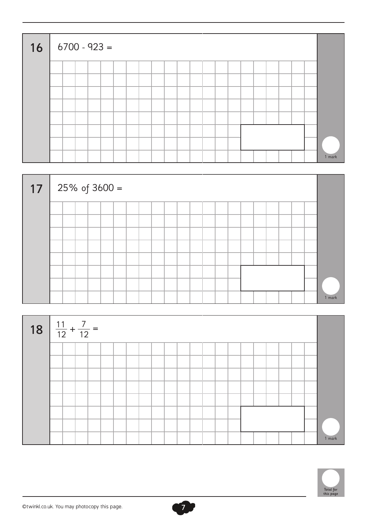| $16   6700 - 923 =$ |  |  |  |  |  |  |  |  |  |  |        |
|---------------------|--|--|--|--|--|--|--|--|--|--|--------|
|                     |  |  |  |  |  |  |  |  |  |  |        |
|                     |  |  |  |  |  |  |  |  |  |  |        |
|                     |  |  |  |  |  |  |  |  |  |  |        |
|                     |  |  |  |  |  |  |  |  |  |  |        |
|                     |  |  |  |  |  |  |  |  |  |  |        |
|                     |  |  |  |  |  |  |  |  |  |  |        |
|                     |  |  |  |  |  |  |  |  |  |  |        |
|                     |  |  |  |  |  |  |  |  |  |  | 1 mark |







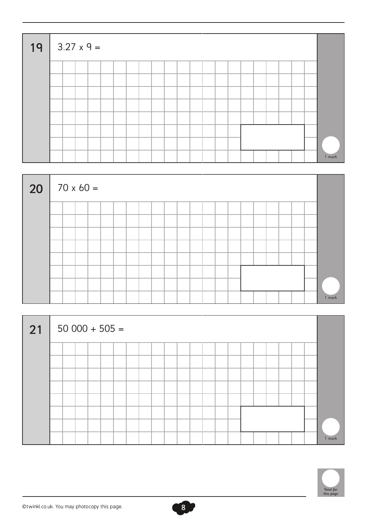| $19   3.27 \times 9 =$ |  |  |  |  |  |  |  |  |  |  |        |
|------------------------|--|--|--|--|--|--|--|--|--|--|--------|
|                        |  |  |  |  |  |  |  |  |  |  |        |
|                        |  |  |  |  |  |  |  |  |  |  |        |
|                        |  |  |  |  |  |  |  |  |  |  |        |
|                        |  |  |  |  |  |  |  |  |  |  |        |
|                        |  |  |  |  |  |  |  |  |  |  |        |
|                        |  |  |  |  |  |  |  |  |  |  |        |
|                        |  |  |  |  |  |  |  |  |  |  |        |
|                        |  |  |  |  |  |  |  |  |  |  | 1 mark |



| 21 |  |  | $50000 + 505 =$ |  |  |  |  |  |  |  |  |        |
|----|--|--|-----------------|--|--|--|--|--|--|--|--|--------|
|    |  |  |                 |  |  |  |  |  |  |  |  |        |
|    |  |  |                 |  |  |  |  |  |  |  |  |        |
|    |  |  |                 |  |  |  |  |  |  |  |  |        |
|    |  |  |                 |  |  |  |  |  |  |  |  |        |
|    |  |  |                 |  |  |  |  |  |  |  |  |        |
|    |  |  |                 |  |  |  |  |  |  |  |  | 1 mark |

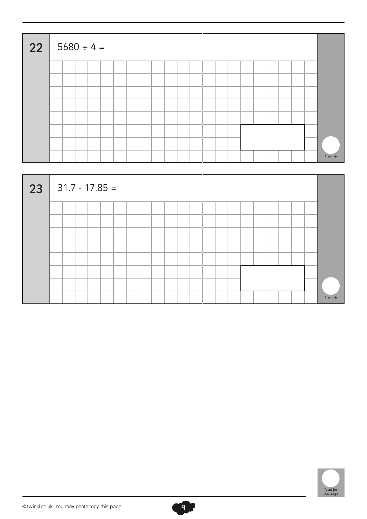| 22 | $\vert 5680 \div 4 =$ |  |  |  |  |  |  |  |  |  |  |        |
|----|-----------------------|--|--|--|--|--|--|--|--|--|--|--------|
|    |                       |  |  |  |  |  |  |  |  |  |  |        |
|    |                       |  |  |  |  |  |  |  |  |  |  |        |
|    |                       |  |  |  |  |  |  |  |  |  |  |        |
|    |                       |  |  |  |  |  |  |  |  |  |  |        |
|    |                       |  |  |  |  |  |  |  |  |  |  |        |
|    |                       |  |  |  |  |  |  |  |  |  |  |        |
|    |                       |  |  |  |  |  |  |  |  |  |  |        |
|    |                       |  |  |  |  |  |  |  |  |  |  | 1 mark |





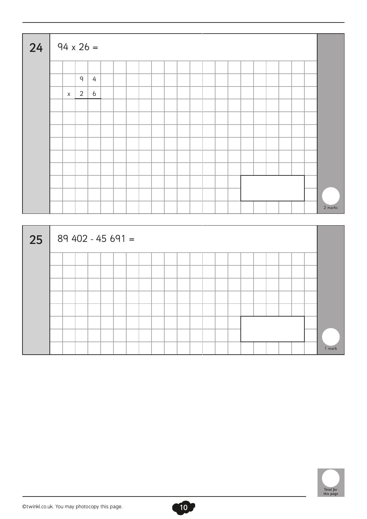| 24 | $94 \times 26 =$ |                |   |  |  |  |  |  |  |  |  |         |
|----|------------------|----------------|---|--|--|--|--|--|--|--|--|---------|
|    |                  |                |   |  |  |  |  |  |  |  |  |         |
|    |                  | $\mathsf{q}$   | 4 |  |  |  |  |  |  |  |  |         |
|    | $\mathsf{X}$     | $\overline{2}$ | 6 |  |  |  |  |  |  |  |  |         |
|    |                  |                |   |  |  |  |  |  |  |  |  |         |
|    |                  |                |   |  |  |  |  |  |  |  |  |         |
|    |                  |                |   |  |  |  |  |  |  |  |  |         |
|    |                  |                |   |  |  |  |  |  |  |  |  |         |
|    |                  |                |   |  |  |  |  |  |  |  |  |         |
|    |                  |                |   |  |  |  |  |  |  |  |  |         |
|    |                  |                |   |  |  |  |  |  |  |  |  |         |
|    |                  |                |   |  |  |  |  |  |  |  |  |         |
|    |                  |                |   |  |  |  |  |  |  |  |  | 2 marks |



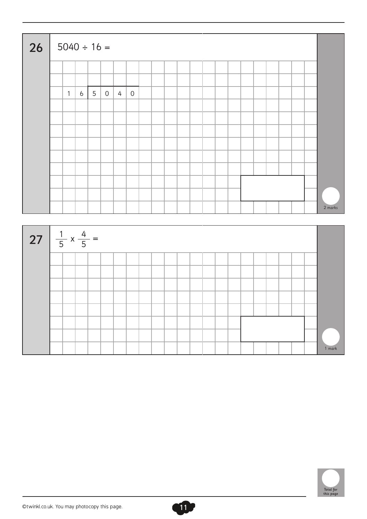| 26                                    | $5040 \div 16 =$ |                |   |                |   |                |  |  |  |  |  |  |  |         |
|---------------------------------------|------------------|----------------|---|----------------|---|----------------|--|--|--|--|--|--|--|---------|
|                                       |                  |                |   |                |   |                |  |  |  |  |  |  |  |         |
|                                       | $\mathbf{1}$     |                |   | $\overline{0}$ | 4 |                |  |  |  |  |  |  |  |         |
|                                       |                  | $\mathfrak{b}$ | 5 |                |   | $\overline{0}$ |  |  |  |  |  |  |  |         |
|                                       |                  |                |   |                |   |                |  |  |  |  |  |  |  |         |
|                                       |                  |                |   |                |   |                |  |  |  |  |  |  |  |         |
|                                       |                  |                |   |                |   |                |  |  |  |  |  |  |  |         |
|                                       |                  |                |   |                |   |                |  |  |  |  |  |  |  |         |
|                                       |                  |                |   |                |   |                |  |  |  |  |  |  |  |         |
|                                       |                  |                |   |                |   |                |  |  |  |  |  |  |  |         |
|                                       |                  |                |   |                |   |                |  |  |  |  |  |  |  | 2 marks |
| 27 $\frac{1}{5} \times \frac{4}{5} =$ |                  |                |   |                |   |                |  |  |  |  |  |  |  |         |
|                                       |                  |                |   |                |   |                |  |  |  |  |  |  |  |         |
|                                       |                  |                |   |                |   |                |  |  |  |  |  |  |  |         |
|                                       |                  |                |   |                |   |                |  |  |  |  |  |  |  |         |
|                                       |                  |                |   |                |   |                |  |  |  |  |  |  |  |         |
|                                       |                  |                |   |                |   |                |  |  |  |  |  |  |  |         |
|                                       |                  |                |   |                |   |                |  |  |  |  |  |  |  |         |
|                                       |                  |                |   |                |   |                |  |  |  |  |  |  |  | 1 mark  |

11

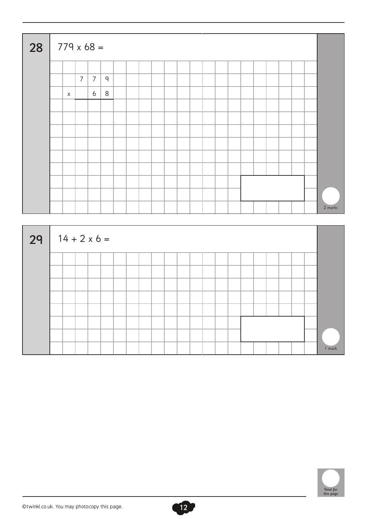| 28 | $779 \times 68 =$ |                |                     |              |  |  |  |  |  |  |  |  |  |  |  |  |         |
|----|-------------------|----------------|---------------------|--------------|--|--|--|--|--|--|--|--|--|--|--|--|---------|
|    |                   |                |                     |              |  |  |  |  |  |  |  |  |  |  |  |  |         |
|    |                   | $\overline{7}$ | $\overline{7}$      | $\mathsf{q}$ |  |  |  |  |  |  |  |  |  |  |  |  |         |
|    |                   | $\mathsf X$    | $6\overline{6}$     | $8\,$        |  |  |  |  |  |  |  |  |  |  |  |  |         |
|    |                   |                |                     |              |  |  |  |  |  |  |  |  |  |  |  |  |         |
|    |                   |                |                     |              |  |  |  |  |  |  |  |  |  |  |  |  |         |
|    |                   |                |                     |              |  |  |  |  |  |  |  |  |  |  |  |  |         |
|    |                   |                |                     |              |  |  |  |  |  |  |  |  |  |  |  |  |         |
|    |                   |                |                     |              |  |  |  |  |  |  |  |  |  |  |  |  |         |
|    |                   |                |                     |              |  |  |  |  |  |  |  |  |  |  |  |  |         |
|    |                   |                |                     |              |  |  |  |  |  |  |  |  |  |  |  |  |         |
|    |                   |                |                     |              |  |  |  |  |  |  |  |  |  |  |  |  |         |
|    |                   |                |                     |              |  |  |  |  |  |  |  |  |  |  |  |  | 2 marks |
|    |                   |                |                     |              |  |  |  |  |  |  |  |  |  |  |  |  |         |
| 29 |                   |                | $14 + 2 \times 6 =$ |              |  |  |  |  |  |  |  |  |  |  |  |  |         |
|    |                   |                |                     |              |  |  |  |  |  |  |  |  |  |  |  |  |         |
|    |                   |                |                     |              |  |  |  |  |  |  |  |  |  |  |  |  |         |
|    |                   |                |                     |              |  |  |  |  |  |  |  |  |  |  |  |  |         |
|    |                   |                |                     |              |  |  |  |  |  |  |  |  |  |  |  |  |         |



1 mark

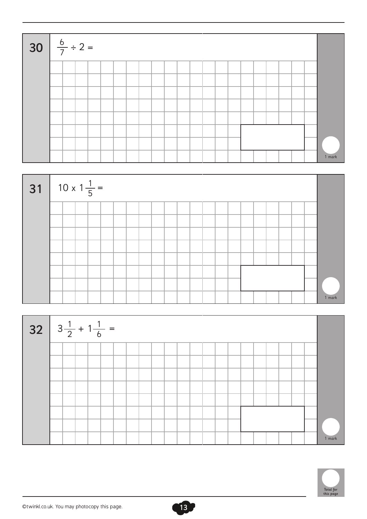| <b>30</b> $\frac{6}{7} \div 2 =$ |  |  |  |  |  |  |  |  |  |  |        |
|----------------------------------|--|--|--|--|--|--|--|--|--|--|--------|
|                                  |  |  |  |  |  |  |  |  |  |  |        |
|                                  |  |  |  |  |  |  |  |  |  |  |        |
|                                  |  |  |  |  |  |  |  |  |  |  |        |
|                                  |  |  |  |  |  |  |  |  |  |  |        |
|                                  |  |  |  |  |  |  |  |  |  |  |        |
|                                  |  |  |  |  |  |  |  |  |  |  |        |
|                                  |  |  |  |  |  |  |  |  |  |  |        |
|                                  |  |  |  |  |  |  |  |  |  |  | 1 mark |





13

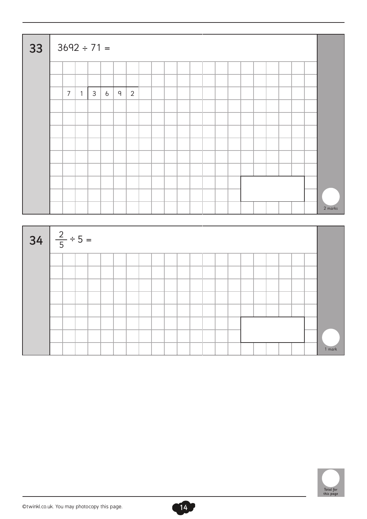|                           |                |                |              | $3692 \div 71 =$ |              |                |  |  |  |  |  |  |  |         |
|---------------------------|----------------|----------------|--------------|------------------|--------------|----------------|--|--|--|--|--|--|--|---------|
|                           |                |                |              |                  |              |                |  |  |  |  |  |  |  |         |
|                           |                |                |              |                  |              |                |  |  |  |  |  |  |  |         |
|                           | $\overline{7}$ | 1 <sup>2</sup> | $\mathsf{3}$ | $6\overline{6}$  | $\mathsf{q}$ | $\overline{2}$ |  |  |  |  |  |  |  |         |
|                           |                |                |              |                  |              |                |  |  |  |  |  |  |  |         |
|                           |                |                |              |                  |              |                |  |  |  |  |  |  |  |         |
|                           |                |                |              |                  |              |                |  |  |  |  |  |  |  |         |
|                           |                |                |              |                  |              |                |  |  |  |  |  |  |  |         |
|                           |                |                |              |                  |              |                |  |  |  |  |  |  |  |         |
|                           |                |                |              |                  |              |                |  |  |  |  |  |  |  |         |
|                           |                |                |              |                  |              |                |  |  |  |  |  |  |  |         |
|                           |                |                |              |                  |              |                |  |  |  |  |  |  |  |         |
|                           |                |                |              |                  |              |                |  |  |  |  |  |  |  | 2 marks |
|                           |                |                |              |                  |              |                |  |  |  |  |  |  |  |         |
|                           |                |                |              |                  |              |                |  |  |  |  |  |  |  |         |
|                           |                |                |              |                  |              |                |  |  |  |  |  |  |  |         |
|                           |                |                |              |                  |              |                |  |  |  |  |  |  |  |         |
|                           |                |                |              |                  |              |                |  |  |  |  |  |  |  |         |
|                           |                |                |              |                  |              |                |  |  |  |  |  |  |  |         |
|                           |                |                |              |                  |              |                |  |  |  |  |  |  |  |         |
|                           |                |                |              |                  |              |                |  |  |  |  |  |  |  |         |
|                           |                |                |              |                  |              |                |  |  |  |  |  |  |  |         |
|                           |                |                |              |                  |              |                |  |  |  |  |  |  |  |         |
| 34 $\frac{2}{5} \div 5 =$ |                |                |              |                  |              |                |  |  |  |  |  |  |  |         |

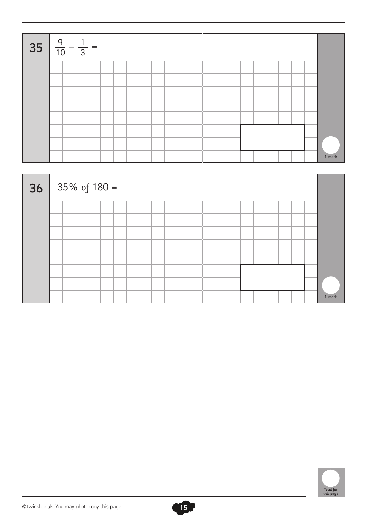| 35 $\frac{9}{10} - \frac{1}{3} =$ |  |  |  |  |  |  |  |  |  |  |        |
|-----------------------------------|--|--|--|--|--|--|--|--|--|--|--------|
|                                   |  |  |  |  |  |  |  |  |  |  |        |
|                                   |  |  |  |  |  |  |  |  |  |  |        |
|                                   |  |  |  |  |  |  |  |  |  |  |        |
|                                   |  |  |  |  |  |  |  |  |  |  |        |
|                                   |  |  |  |  |  |  |  |  |  |  |        |
|                                   |  |  |  |  |  |  |  |  |  |  |        |
|                                   |  |  |  |  |  |  |  |  |  |  |        |
|                                   |  |  |  |  |  |  |  |  |  |  | 1 mark |